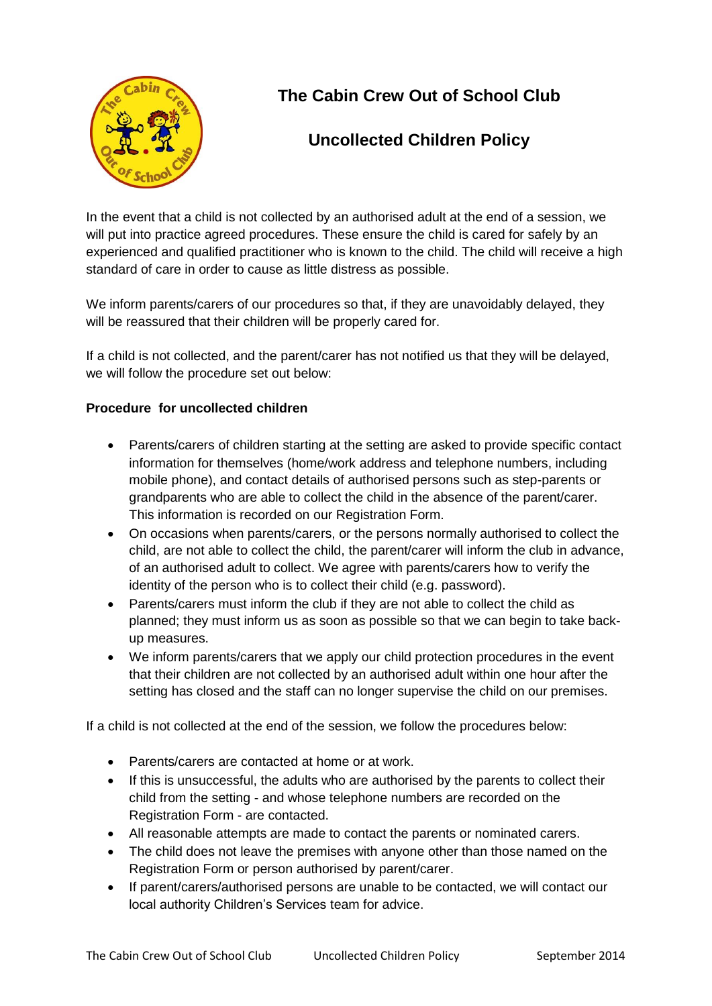

## **The Cabin Crew Out of School Club**

## **Uncollected Children Policy**

In the event that a child is not collected by an authorised adult at the end of a session, we will put into practice agreed procedures. These ensure the child is cared for safely by an experienced and qualified practitioner who is known to the child. The child will receive a high standard of care in order to cause as little distress as possible.

We inform parents/carers of our procedures so that, if they are unavoidably delayed, they will be reassured that their children will be properly cared for.

If a child is not collected, and the parent/carer has not notified us that they will be delayed, we will follow the procedure set out below:

## **Procedure for uncollected children**

- Parents/carers of children starting at the setting are asked to provide specific contact information for themselves (home/work address and telephone numbers, including mobile phone), and contact details of authorised persons such as step-parents or grandparents who are able to collect the child in the absence of the parent/carer. This information is recorded on our Registration Form.
- On occasions when parents/carers, or the persons normally authorised to collect the child, are not able to collect the child, the parent/carer will inform the club in advance, of an authorised adult to collect. We agree with parents/carers how to verify the identity of the person who is to collect their child (e.g. password).
- Parents/carers must inform the club if they are not able to collect the child as planned; they must inform us as soon as possible so that we can begin to take backup measures.
- We inform parents/carers that we apply our child protection procedures in the event that their children are not collected by an authorised adult within one hour after the setting has closed and the staff can no longer supervise the child on our premises.

If a child is not collected at the end of the session, we follow the procedures below:

- Parents/carers are contacted at home or at work.
- If this is unsuccessful, the adults who are authorised by the parents to collect their child from the setting - and whose telephone numbers are recorded on the Registration Form - are contacted.
- All reasonable attempts are made to contact the parents or nominated carers.
- The child does not leave the premises with anyone other than those named on the Registration Form or person authorised by parent/carer.
- If parent/carers/authorised persons are unable to be contacted, we will contact our local authority Children's Services team for advice.